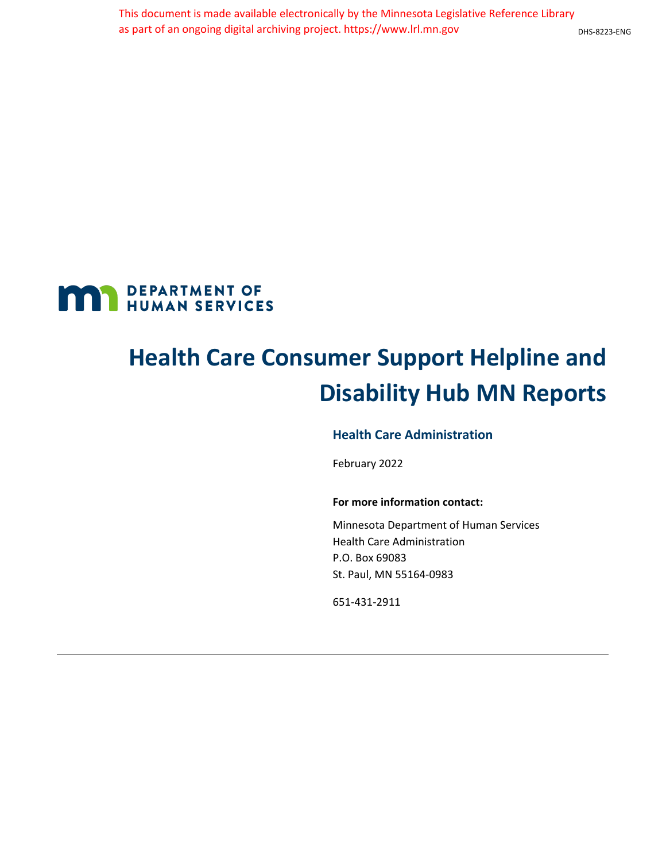

# **Health Care Consumer Support Helpline and Disability Hub MN Reports**

#### **Health Care Administration**

February 2022

#### **For more information contact:**

Minnesota Department of Human Services Health Care Administration P.O. Box 69083 St. Paul, MN 55164-0983

651-431-2911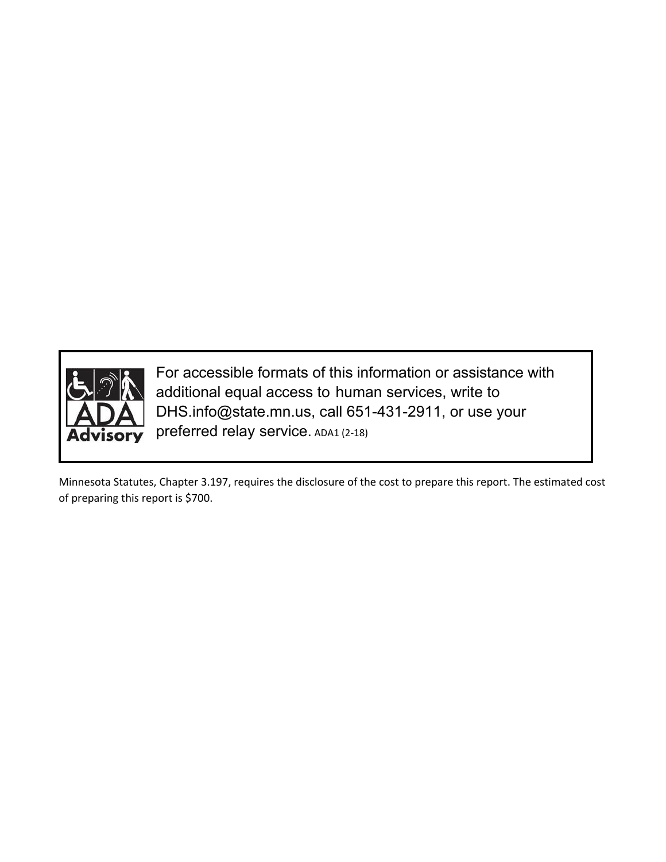

For accessible formats of this information or assistance with additional equal access to human services, write to DHS.info@state.mn.us, call 651-431-2911, or use your preferred relay service. ADA1 (2-18)

Minnesota Statutes, Chapter 3.197, requires the disclosure of the cost to prepare this report. The estimated cost of preparing this report is \$700.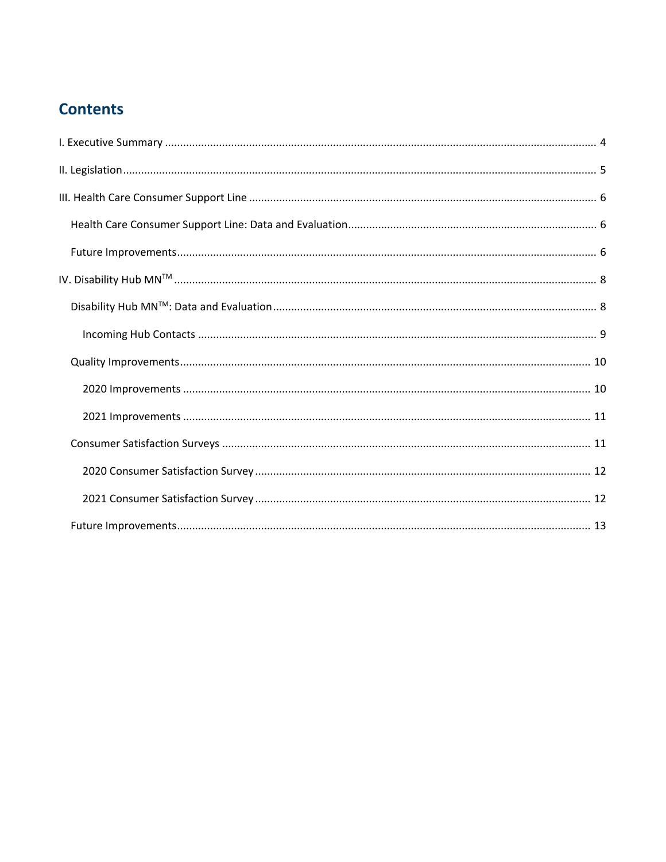## **Contents**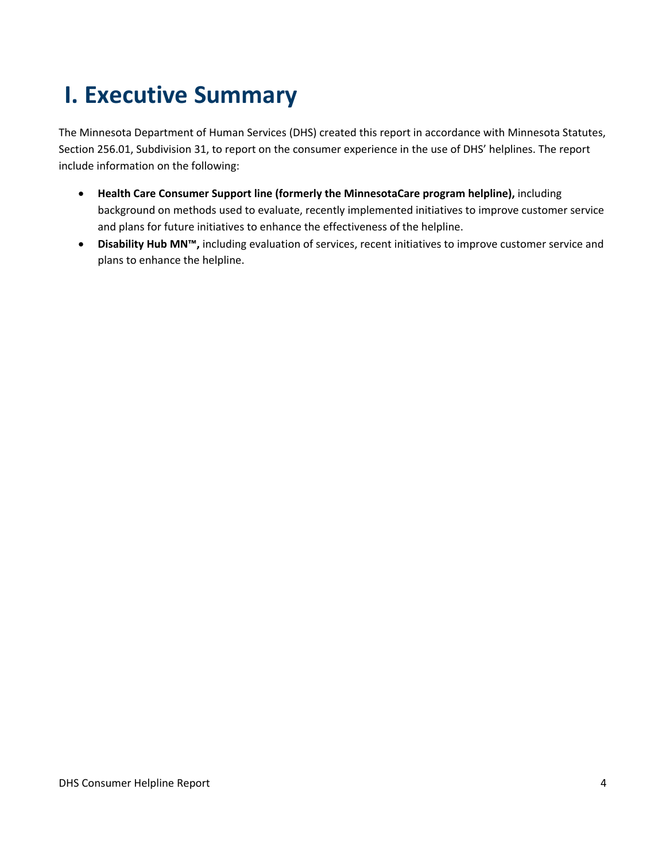## <span id="page-3-0"></span>**I. Executive Summary**

The Minnesota Department of Human Services (DHS) created this report in accordance with Minnesota Statutes, Section 256.01, Subdivision 31, to report on the consumer experience in the use of DHS' helplines. The report include information on the following:

- **Health Care Consumer Support line (formerly the MinnesotaCare program helpline),** including background on methods used to evaluate, recently implemented initiatives to improve customer service and plans for future initiatives to enhance the effectiveness of the helpline.
- **Disability Hub MN™,** including evaluation of services, recent initiatives to improve customer service and plans to enhance the helpline.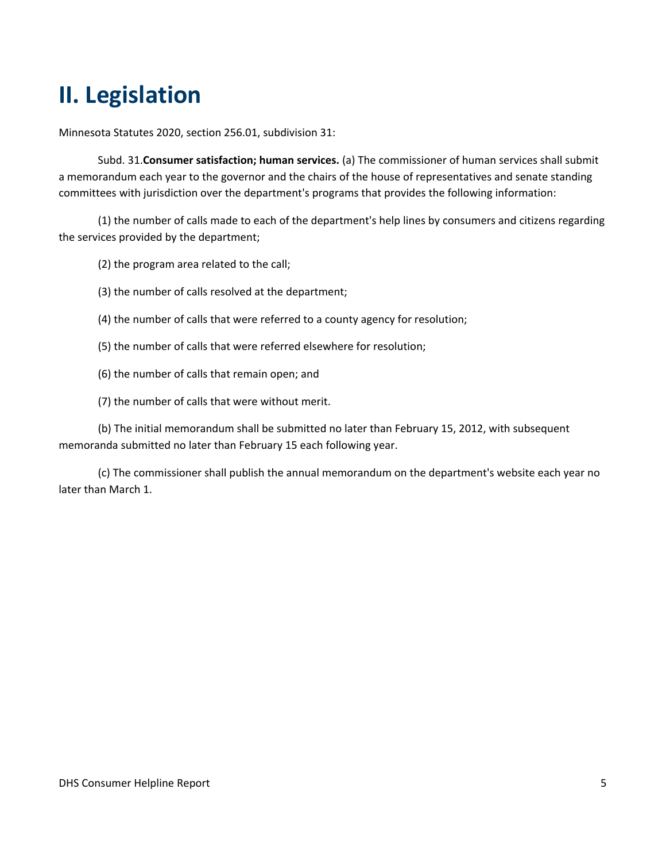## <span id="page-4-0"></span>**II. Legislation**

Minnesota Statutes 2020, section 256.01, subdivision 31:

Subd. 31.**Consumer satisfaction; human services.** (a) The commissioner of human services shall submit a memorandum each year to the governor and the chairs of the house of representatives and senate standing committees with jurisdiction over the department's programs that provides the following information:

(1) the number of calls made to each of the department's help lines by consumers and citizens regarding the services provided by the department;

(2) the program area related to the call;

(3) the number of calls resolved at the department;

- (4) the number of calls that were referred to a county agency for resolution;
- (5) the number of calls that were referred elsewhere for resolution;
- (6) the number of calls that remain open; and

(7) the number of calls that were without merit.

(b) The initial memorandum shall be submitted no later than February 15, 2012, with subsequent memoranda submitted no later than February 15 each following year.

(c) The commissioner shall publish the annual memorandum on the department's website each year no later than March 1.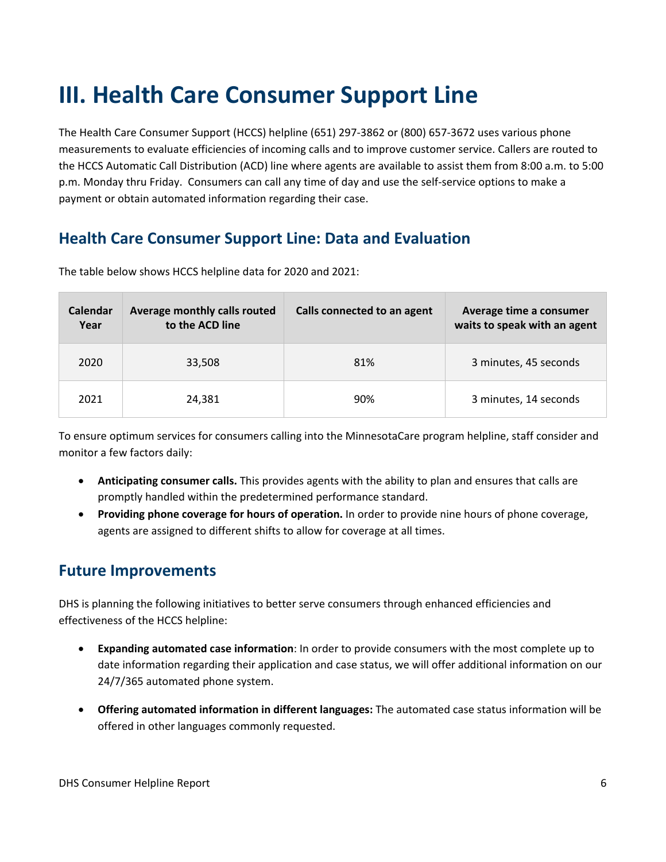## <span id="page-5-0"></span>**III. Health Care Consumer Support Line**

The Health Care Consumer Support (HCCS) helpline (651) 297-3862 or (800) 657-3672 uses various phone measurements to evaluate efficiencies of incoming calls and to improve customer service. Callers are routed to the HCCS Automatic Call Distribution (ACD) line where agents are available to assist them from 8:00 a.m. to 5:00 p.m. Monday thru Friday. Consumers can call any time of day and use the self-service options to make a payment or obtain automated information regarding their case.

## <span id="page-5-1"></span>**Health Care Consumer Support Line: Data and Evaluation**

| <b>Calendar</b><br>Year | Average monthly calls routed<br>to the ACD line | Calls connected to an agent | Average time a consumer<br>waits to speak with an agent |
|-------------------------|-------------------------------------------------|-----------------------------|---------------------------------------------------------|
| 2020                    | 33,508                                          | 81%                         | 3 minutes, 45 seconds                                   |
| 2021                    | 24,381                                          | 90%                         | 3 minutes, 14 seconds                                   |

The table below shows HCCS helpline data for 2020 and 2021:

To ensure optimum services for consumers calling into the MinnesotaCare program helpline, staff consider and monitor a few factors daily:

- **Anticipating consumer calls.** This provides agents with the ability to plan and ensures that calls are promptly handled within the predetermined performance standard.
- **Providing phone coverage for hours of operation.** In order to provide nine hours of phone coverage, agents are assigned to different shifts to allow for coverage at all times.

### <span id="page-5-2"></span>**Future Improvements**

DHS is planning the following initiatives to better serve consumers through enhanced efficiencies and effectiveness of the HCCS helpline:

- **Expanding automated case information**: In order to provide consumers with the most complete up to date information regarding their application and case status, we will offer additional information on our 24/7/365 automated phone system.
- **Offering automated information in different languages:** The automated case status information will be offered in other languages commonly requested.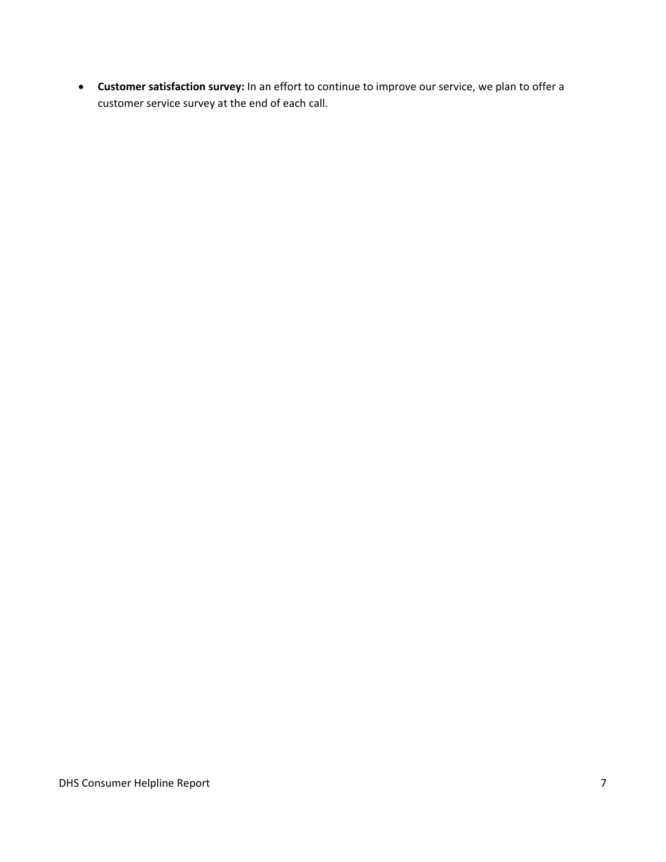• **Customer satisfaction survey:** In an effort to continue to improve our service, we plan to offer a customer service survey at the end of each call.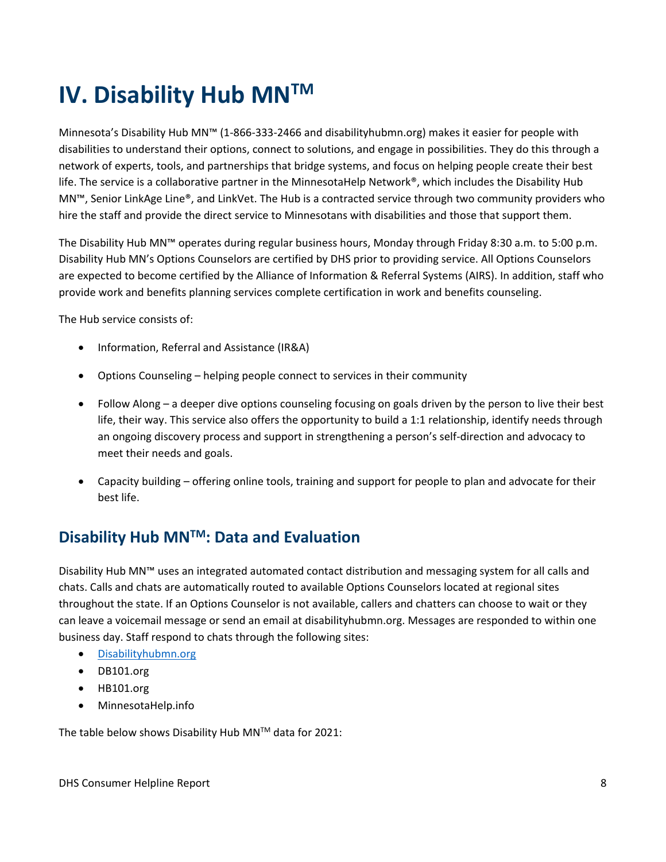## <span id="page-7-0"></span>**IV. Disability Hub MNTM**

Minnesota's Disability Hub MN™ (1-866-333-2466 and disabilityhubmn.org) makes it easier for people with disabilities to understand their options, connect to solutions, and engage in possibilities. They do this through a network of experts, tools, and partnerships that bridge systems, and focus on helping people create their best life. The service is a collaborative partner in the MinnesotaHelp Network®, which includes the Disability Hub MN™, Senior LinkAge Line®, and LinkVet. The Hub is a contracted service through two community providers who hire the staff and provide the direct service to Minnesotans with disabilities and those that support them.

The Disability Hub MN™ operates during regular business hours, Monday through Friday 8:30 a.m. to 5:00 p.m. Disability Hub MN's Options Counselors are certified by DHS prior to providing service. All Options Counselors are expected to become certified by the Alliance of Information & Referral Systems (AIRS). In addition, staff who provide work and benefits planning services complete certification in work and benefits counseling.

The Hub service consists of:

- Information, Referral and Assistance (IR&A)
- Options Counseling helping people connect to services in their community
- Follow Along a deeper dive options counseling focusing on goals driven by the person to live their best life, their way. This service also offers the opportunity to build a 1:1 relationship, identify needs through an ongoing discovery process and support in strengthening a person's self-direction and advocacy to meet their needs and goals.
- Capacity building offering online tools, training and support for people to plan and advocate for their best life.

### <span id="page-7-1"></span>**Disability Hub MNTM: Data and Evaluation**

Disability Hub MN™ uses an integrated automated contact distribution and messaging system for all calls and chats. Calls and chats are automatically routed to available Options Counselors located at regional sites throughout the state. If an Options Counselor is not available, callers and chatters can choose to wait or they can leave a voicemail message or send an email at disabilityhubmn.org. Messages are responded to within one business day. Staff respond to chats through the following sites:

- [Disabilityhubmn.org](http://disabilityhubmn.org/)
- DB101.org
- HB101.org
- MinnesotaHelp.info

The table below shows Disability Hub MN™ data for 2021: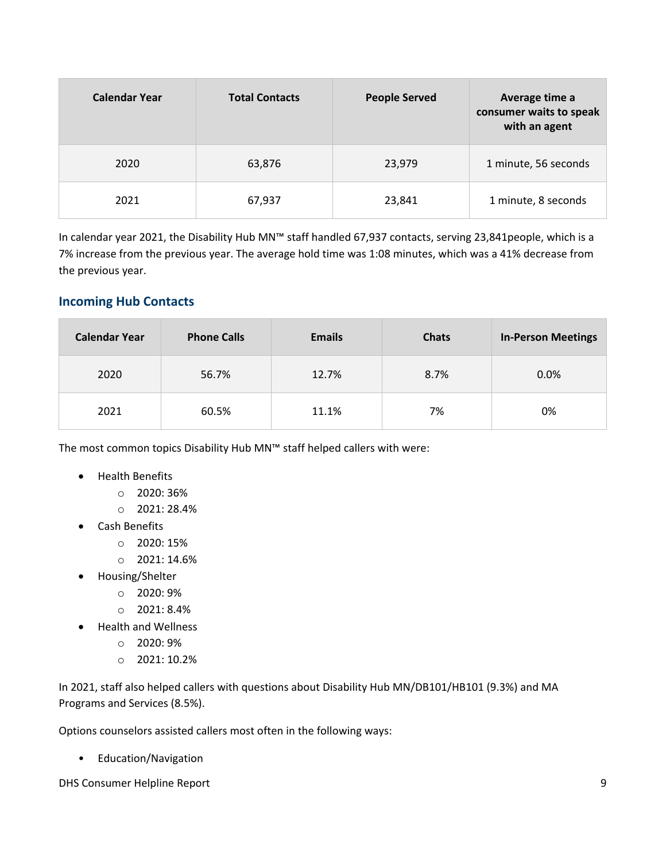| <b>Calendar Year</b> | <b>Total Contacts</b> | <b>People Served</b> | Average time a<br>consumer waits to speak<br>with an agent |
|----------------------|-----------------------|----------------------|------------------------------------------------------------|
| 2020                 | 63,876                | 23,979               | 1 minute, 56 seconds                                       |
| 2021                 | 67,937                | 23,841               | 1 minute, 8 seconds                                        |

In calendar year 2021, the Disability Hub MN™ staff handled 67,937 contacts, serving 23,841people, which is a 7% increase from the previous year. The average hold time was 1:08 minutes, which was a 41% decrease from the previous year.

#### <span id="page-8-0"></span>**Incoming Hub Contacts**

| <b>Calendar Year</b> | <b>Phone Calls</b> | <b>Emails</b> | <b>Chats</b> | <b>In-Person Meetings</b> |
|----------------------|--------------------|---------------|--------------|---------------------------|
| 2020                 | 56.7%              | 12.7%         | 8.7%         | 0.0%                      |
| 2021                 | 60.5%              | 11.1%         | 7%           | 0%                        |

The most common topics Disability Hub MN™ staff helped callers with were:

- Health Benefits
	- $O$  2020: 36%
	- o 2021: 28.4%
- Cash Benefits
	- o 2020: 15%
	- o 2021: 14.6%
- Housing/Shelter
	- o 2020: 9%
	- $O$  2021: 8.4%
- Health and Wellness
	- o 2020: 9%
	- o 2021: 10.2%

In 2021, staff also helped callers with questions about Disability Hub MN/DB101/HB101 (9.3%) and MA Programs and Services (8.5%).

Options counselors assisted callers most often in the following ways:

• Education/Navigation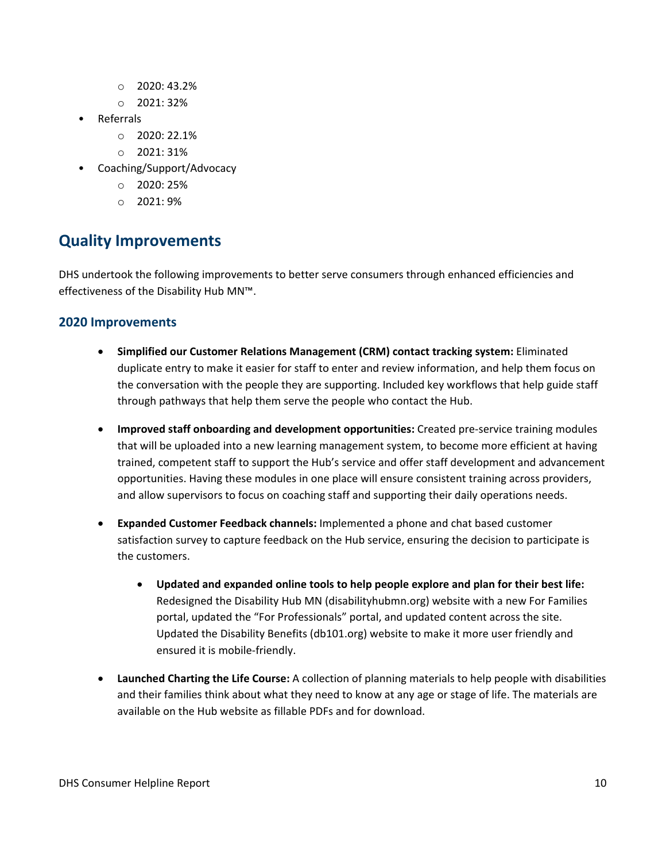- $\circ$  2020: 43.2%
- o 2021: 32%
- Referrals
	- o 2020: 22.1%
	- o 2021: 31%
- Coaching/Support/Advocacy
	- $O$  2020: 25%
	- $\circ$  2021: 9%

## <span id="page-9-0"></span>**Quality Improvements**

DHS undertook the following improvements to better serve consumers through enhanced efficiencies and effectiveness of the Disability Hub MN™.

#### <span id="page-9-1"></span>**2020 Improvements**

- **Simplified our Customer Relations Management (CRM) contact tracking system:** Eliminated duplicate entry to make it easier for staff to enter and review information, and help them focus on the conversation with the people they are supporting. Included key workflows that help guide staff through pathways that help them serve the people who contact the Hub.
- **Improved staff onboarding and development opportunities:** Created pre-service training modules that will be uploaded into a new learning management system, to become more efficient at having trained, competent staff to support the Hub's service and offer staff development and advancement opportunities. Having these modules in one place will ensure consistent training across providers, and allow supervisors to focus on coaching staff and supporting their daily operations needs.
- **Expanded Customer Feedback channels:** Implemented a phone and chat based customer satisfaction survey to capture feedback on the Hub service, ensuring the decision to participate is the customers.
	- **Updated and expanded online tools to help people explore and plan for their best life:**  Redesigned the Disability Hub MN (disabilityhubmn.org) website with a new For Families portal, updated the "For Professionals" portal, and updated content across the site. Updated the Disability Benefits (db101.org) website to make it more user friendly and ensured it is mobile-friendly.
- **Launched Charting the Life Course:** A collection of planning materials to help people with disabilities and their families think about what they need to know at any age or stage of life. The materials are available on the Hub website as fillable PDFs and for download.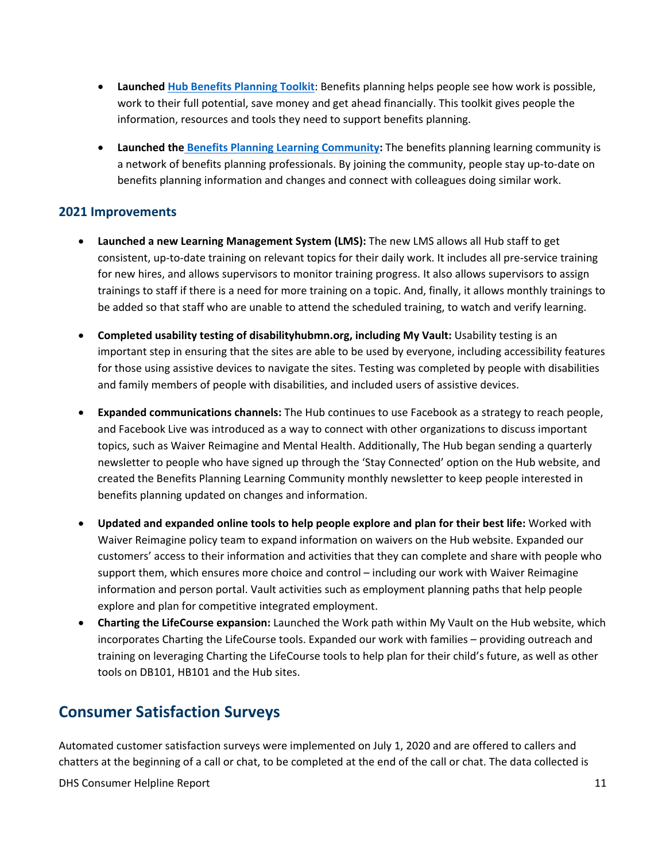- **Launched [Hub Benefits Planning Toolkit](https://gcc01.safelinks.protection.outlook.com/?url=https%3A%2F%2Fdisabilityhubmn.org%2Ffor-professionals%2Fbenefits-planning%2F&data=04%7C01%7Cnicole.scheiber%40state.mn.us%7C5a4bcaa7dcfe4c70024608d8b1b019f1%7Ceb14b04624c445198f26b89c2159828c%7C0%7C0%7C637454717186234854%7CUnknown%7CTWFpbGZsb3d8eyJWIjoiMC4wLjAwMDAiLCJQIjoiV2luMzIiLCJBTiI6Ik1haWwiLCJXVCI6Mn0%3D%7C1000&sdata=ZAQVn1PagDCcI3S7Wy8WPA23KWa56MvzAhE%2FLgNWTaE%3D&reserved=0)**: Benefits planning helps people see how work is possible, work to their full potential, save money and get ahead financially. This toolkit gives people the information, resources and tools they need to support benefits planning.
- **Launched the [Benefits Planning Learning Community:](https://gcc01.safelinks.protection.outlook.com/?url=https%3A%2F%2Fdisabilityhubmn.org%2Ffor-professionals%2Fbenefits-planning%2Fjoin-the-learning-community%2F&data=04%7C01%7Cnicole.scheiber%40state.mn.us%7C5a4bcaa7dcfe4c70024608d8b1b019f1%7Ceb14b04624c445198f26b89c2159828c%7C0%7C0%7C637454717186244813%7CUnknown%7CTWFpbGZsb3d8eyJWIjoiMC4wLjAwMDAiLCJQIjoiV2luMzIiLCJBTiI6Ik1haWwiLCJXVCI6Mn0%3D%7C1000&sdata=uUT%2FZSaf0w%2FFmuu%2BJ%2FkYNpwRR%2BWRCVANFXwqotNip%2FY%3D&reserved=0)** The benefits planning learning community is a network of benefits planning professionals. By joining the community, people stay up-to-date on benefits planning information and changes and connect with colleagues doing similar work.

#### <span id="page-10-0"></span>**2021 Improvements**

- **Launched a new Learning Management System (LMS):** The new LMS allows all Hub staff to get consistent, up-to-date training on relevant topics for their daily work. It includes all pre-service training for new hires, and allows supervisors to monitor training progress. It also allows supervisors to assign trainings to staff if there is a need for more training on a topic. And, finally, it allows monthly trainings to be added so that staff who are unable to attend the scheduled training, to watch and verify learning.
- **Completed usability testing of disabilityhubmn.org, including My Vault:** Usability testing is an important step in ensuring that the sites are able to be used by everyone, including accessibility features for those using assistive devices to navigate the sites. Testing was completed by people with disabilities and family members of people with disabilities, and included users of assistive devices.
- **Expanded communications channels:** The Hub continues to use Facebook as a strategy to reach people, and Facebook Live was introduced as a way to connect with other organizations to discuss important topics, such as Waiver Reimagine and Mental Health. Additionally, The Hub began sending a quarterly newsletter to people who have signed up through the 'Stay Connected' option on the Hub website, and created the Benefits Planning Learning Community monthly newsletter to keep people interested in benefits planning updated on changes and information.
- **Updated and expanded online tools to help people explore and plan for their best life:** Worked with Waiver Reimagine policy team to expand information on waivers on the Hub website. Expanded our customers' access to their information and activities that they can complete and share with people who support them, which ensures more choice and control – including our work with Waiver Reimagine information and person portal. Vault activities such as employment planning paths that help people explore and plan for competitive integrated employment.
- **Charting the LifeCourse expansion:** Launched the Work path within My Vault on the Hub website, which incorporates Charting the LifeCourse tools. Expanded our work with families – providing outreach and training on leveraging Charting the LifeCourse tools to help plan for their child's future, as well as other tools on DB101, HB101 and the Hub sites.

### <span id="page-10-1"></span>**Consumer Satisfaction Surveys**

Automated customer satisfaction surveys were implemented on July 1, 2020 and are offered to callers and chatters at the beginning of a call or chat, to be completed at the end of the call or chat. The data collected is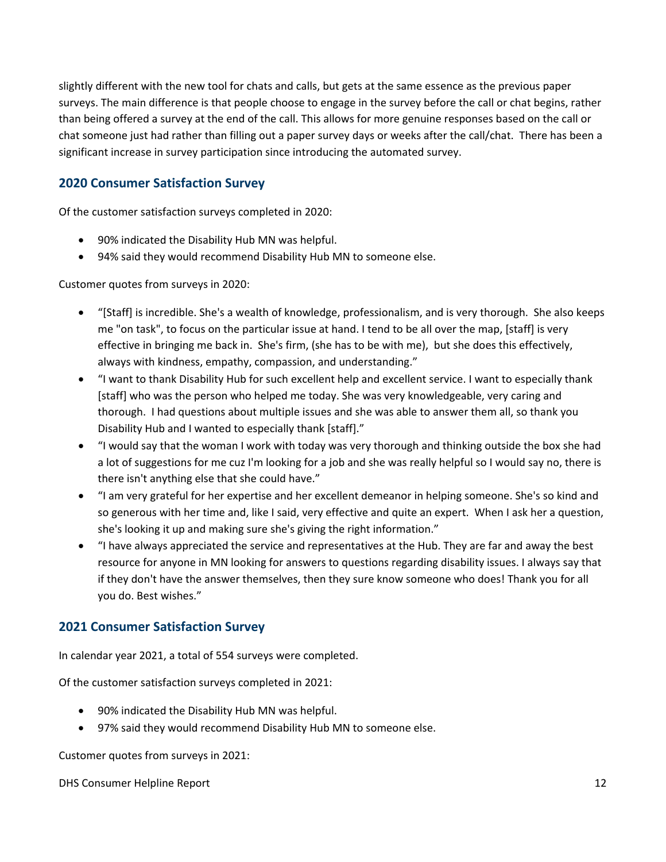slightly different with the new tool for chats and calls, but gets at the same essence as the previous paper surveys. The main difference is that people choose to engage in the survey before the call or chat begins, rather than being offered a survey at the end of the call. This allows for more genuine responses based on the call or chat someone just had rather than filling out a paper survey days or weeks after the call/chat. There has been a significant increase in survey participation since introducing the automated survey.

#### <span id="page-11-0"></span>**2020 Consumer Satisfaction Survey**

Of the customer satisfaction surveys completed in 2020:

- 90% indicated the Disability Hub MN was helpful.
- 94% said they would recommend Disability Hub MN to someone else.

Customer quotes from surveys in 2020:

- "[Staff] is incredible. She's a wealth of knowledge, professionalism, and is very thorough. She also keeps me "on task", to focus on the particular issue at hand. I tend to be all over the map, [staff] is very effective in bringing me back in. She's firm, (she has to be with me), but she does this effectively, always with kindness, empathy, compassion, and understanding."
- "I want to thank Disability Hub for such excellent help and excellent service. I want to especially thank [staff] who was the person who helped me today. She was very knowledgeable, very caring and thorough. I had questions about multiple issues and she was able to answer them all, so thank you Disability Hub and I wanted to especially thank [staff]."
- "I would say that the woman I work with today was very thorough and thinking outside the box she had a lot of suggestions for me cuz I'm looking for a job and she was really helpful so I would say no, there is there isn't anything else that she could have."
- "I am very grateful for her expertise and her excellent demeanor in helping someone. She's so kind and so generous with her time and, like I said, very effective and quite an expert. When I ask her a question, she's looking it up and making sure she's giving the right information."
- "I have always appreciated the service and representatives at the Hub. They are far and away the best resource for anyone in MN looking for answers to questions regarding disability issues. I always say that if they don't have the answer themselves, then they sure know someone who does! Thank you for all you do. Best wishes."

#### <span id="page-11-1"></span>**2021 Consumer Satisfaction Survey**

In calendar year 2021, a total of 554 surveys were completed.

Of the customer satisfaction surveys completed in 2021:

- 90% indicated the Disability Hub MN was helpful.
- 97% said they would recommend Disability Hub MN to someone else.

Customer quotes from surveys in 2021: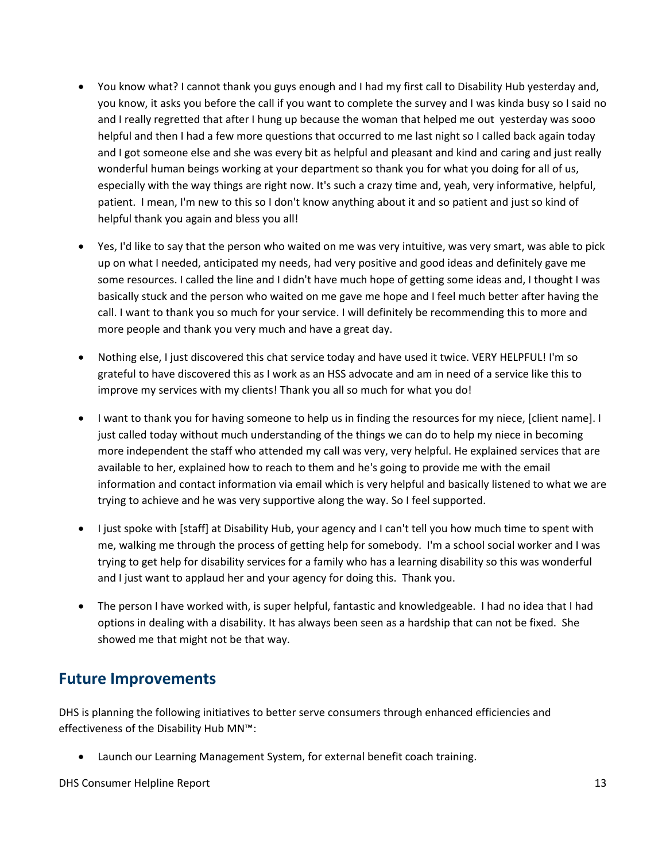- You know what? I cannot thank you guys enough and I had my first call to Disability Hub yesterday and, you know, it asks you before the call if you want to complete the survey and I was kinda busy so I said no and I really regretted that after I hung up because the woman that helped me out yesterday was sooo helpful and then I had a few more questions that occurred to me last night so I called back again today and I got someone else and she was every bit as helpful and pleasant and kind and caring and just really wonderful human beings working at your department so thank you for what you doing for all of us, especially with the way things are right now. It's such a crazy time and, yeah, very informative, helpful, patient. I mean, I'm new to this so I don't know anything about it and so patient and just so kind of helpful thank you again and bless you all!
- Yes, I'd like to say that the person who waited on me was very intuitive, was very smart, was able to pick up on what I needed, anticipated my needs, had very positive and good ideas and definitely gave me some resources. I called the line and I didn't have much hope of getting some ideas and, I thought I was basically stuck and the person who waited on me gave me hope and I feel much better after having the call. I want to thank you so much for your service. I will definitely be recommending this to more and more people and thank you very much and have a great day.
- Nothing else, I just discovered this chat service today and have used it twice. VERY HELPFUL! I'm so grateful to have discovered this as I work as an HSS advocate and am in need of a service like this to improve my services with my clients! Thank you all so much for what you do!
- I want to thank you for having someone to help us in finding the resources for my niece, [client name]. I just called today without much understanding of the things we can do to help my niece in becoming more independent the staff who attended my call was very, very helpful. He explained services that are available to her, explained how to reach to them and he's going to provide me with the email information and contact information via email which is very helpful and basically listened to what we are trying to achieve and he was very supportive along the way. So I feel supported.
- I just spoke with [staff] at Disability Hub, your agency and I can't tell you how much time to spent with me, walking me through the process of getting help for somebody. I'm a school social worker and I was trying to get help for disability services for a family who has a learning disability so this was wonderful and I just want to applaud her and your agency for doing this. Thank you.
- The person I have worked with, is super helpful, fantastic and knowledgeable. I had no idea that I had options in dealing with a disability. It has always been seen as a hardship that can not be fixed. She showed me that might not be that way.

### <span id="page-12-0"></span>**Future Improvements**

DHS is planning the following initiatives to better serve consumers through enhanced efficiencies and effectiveness of the Disability Hub MN™:

• Launch our Learning Management System, for external benefit coach training.